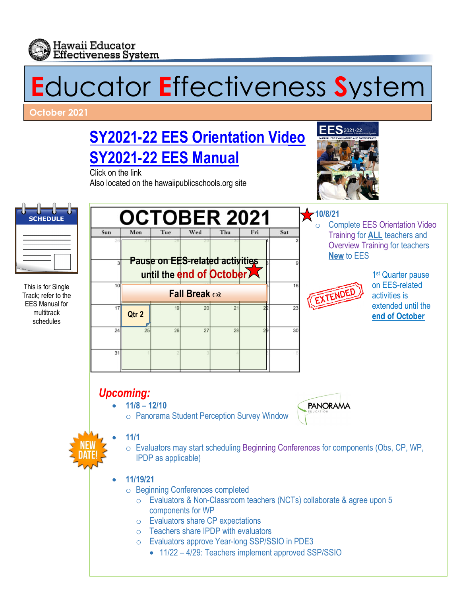

# **E**ducator **E**ffectiveness **S**ystem

**October 2021** 

**[SY2021-22 EES Orientation Video](https://vimeo.com/575119648)**

**SY2021-22 [EES Manual](http://www.hawaiipublicschools.org/DOE%20Forms/Educator%20Effectivness/EESManual.pdf)**

Click on the link Also located on the hawaiipublicschools.org site



**New** to EES

EXTENDE



This is for Single Track; refer to the EES Manual for multitrack schedules



1<sup>st</sup> Quarter pause on EES-related activities is extended until the

**end of October**

**Complete EES Orientation Video** Training for **ALL** teachers and Overview Training for teachers

- **11/8 – 12/10**
	- o Panorama Student Perception Survey Window



• **11/1**

- o Evaluators may start scheduling Beginning Conferences for components (Obs, CP, WP, IPDP as applicable)
- **11/19/21**
	- o Beginning Conferences completed
		- o Evaluators & Non-Classroom teachers (NCTs) collaborate & agree upon 5 components for WP
		- o Evaluators share CP expectations
		- o Teachers share IPDP with evaluators
		- o Evaluators approve Year-long SSP/SSIO in PDE3
			- 11/22 4/29: Teachers implement approved SSP/SSIO